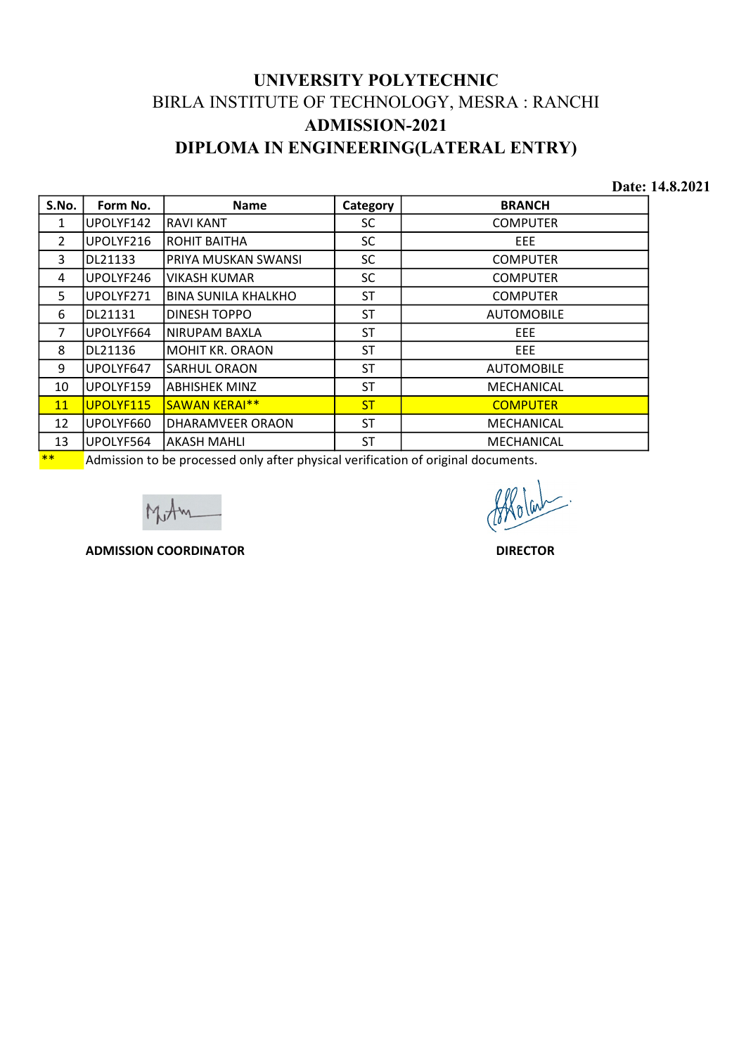## UNIVERSITY POLYTECHNIC BIRLA INSTITUTE OF TECHNOLOGY, MESRA : RANCHI ADMISSION-2021 DIPLOMA IN ENGINEERING(LATERAL ENTRY)

|                |           |                                                                                   |                       | UNIVERSITY POLYTECHNIC                        |                 |
|----------------|-----------|-----------------------------------------------------------------------------------|-----------------------|-----------------------------------------------|-----------------|
|                |           |                                                                                   |                       | BIRLA INSTITUTE OF TECHNOLOGY, MESRA : RANCHI |                 |
|                |           |                                                                                   | <b>ADMISSION-2021</b> |                                               |                 |
|                |           |                                                                                   |                       |                                               |                 |
|                |           |                                                                                   |                       | DIPLOMA IN ENGINEERING(LATERAL ENTRY)         |                 |
|                |           |                                                                                   |                       |                                               | Date: 14.8.2021 |
| S.No.          | Form No.  | <b>Name</b>                                                                       | Category              | <b>BRANCH</b>                                 |                 |
| $\mathbf{1}$   | UPOLYF142 | RAVI KANT                                                                         | <b>SC</b>             | <b>COMPUTER</b>                               |                 |
| $\overline{2}$ | UPOLYF216 | ROHIT BAITHA                                                                      | SC                    | EEE                                           |                 |
| 3              | DL21133   | PRIYA MUSKAN SWANSI                                                               | <b>SC</b>             | <b>COMPUTER</b>                               |                 |
| 4              | UPOLYF246 | <b>VIKASH KUMAR</b>                                                               | SC                    | <b>COMPUTER</b>                               |                 |
| 5              | UPOLYF271 | <b>BINA SUNILA KHALKHO</b>                                                        | <b>ST</b>             | <b>COMPUTER</b>                               |                 |
| 6              | DL21131   | <b>DINESH TOPPO</b>                                                               | <b>ST</b>             | <b>AUTOMOBILE</b>                             |                 |
| $\overline{7}$ | UPOLYF664 | NIRUPAM BAXLA                                                                     | <b>ST</b>             | EEE                                           |                 |
| 8              | DL21136   | <b>MOHIT KR. ORAON</b>                                                            | <b>ST</b>             | EEE                                           |                 |
| 9              | UPOLYF647 | <b>SARHUL ORAON</b>                                                               | <b>ST</b>             | <b>AUTOMOBILE</b>                             |                 |
| 10             | UPOLYF159 | <b>ABHISHEK MINZ</b>                                                              | <b>ST</b>             | MECHANICAL                                    |                 |
| 11             | UPOLYF115 | SAWAN KERAI**                                                                     | <b>ST</b>             | <b>COMPUTER</b>                               |                 |
| 12             | UPOLYF660 | DHARAMVEER ORAON                                                                  | <b>ST</b>             | MECHANICAL                                    |                 |
| 13             | UPOLYF564 | AKASH MAHLI                                                                       | <b>ST</b>             | MECHANICAL                                    |                 |
| $***$          |           | Admission to be processed only after physical verification of original documents. |                       |                                               |                 |
|                |           |                                                                                   |                       |                                               |                 |
|                |           | <b>ADMISSION COORDINATOR</b>                                                      |                       | <b>DIRECTOR</b>                               |                 |
|                |           |                                                                                   |                       |                                               |                 |